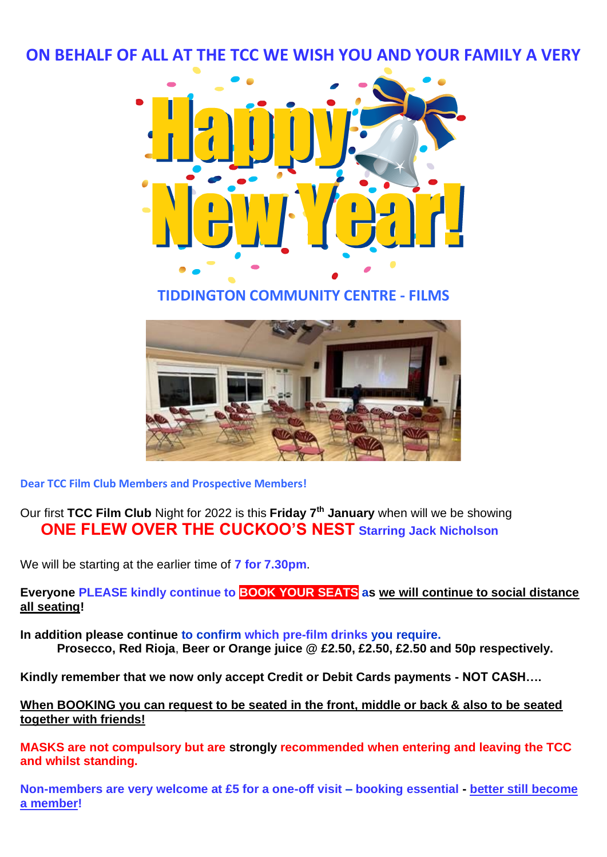**ON BEHALF OF ALL AT THE TCC WE WISH YOU AND YOUR FAMILY A VERY**



## **TIDDINGTON COMMUNITY CENTRE - FILMS**



**Dear TCC Film Club Members and Prospective Members!** 

Our first **TCC Film Club** Night for 2022 is this **Friday 7th January** when will we be showing  **ONE FLEW OVER THE CUCKOO'S NEST Starring Jack Nicholson**

We will be starting at the earlier time of **7 for 7.30pm**.

**Everyone PLEASE kindly continue to BOOK YOUR SEATS as we will continue to social distance all seating!**

**In addition please continue to confirm which pre-film drinks you require. Prosecco, Red Rioja**, **Beer or Orange juice @ £2.50, £2.50, £2.50 and 50p respectively.**

**Kindly remember that we now only accept Credit or Debit Cards payments - NOT CASH….**

**When BOOKING you can request to be seated in the front, middle or back & also to be seated together with friends!**

**MASKS are not compulsory but are strongly recommended when entering and leaving the TCC and whilst standing.**

**Non-members are very welcome at £5 for a one-off visit – booking essential - better still become a member!**